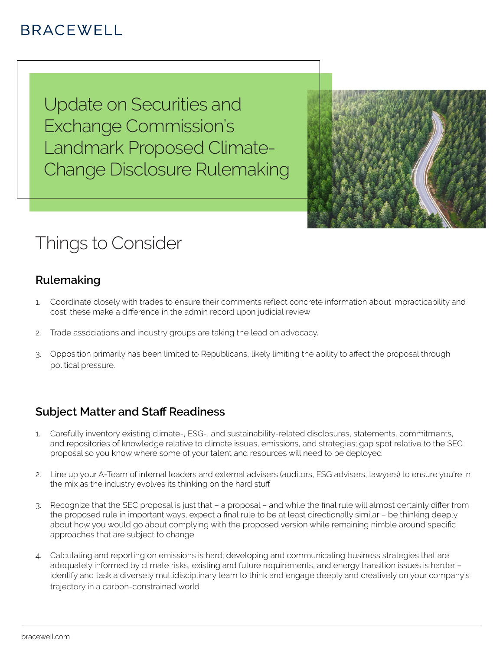# **BRACEWELL**

Update on Securities and Exchange Commission's Landmark Proposed Climate-Change Disclosure Rulemaking



# Things to Consider

## **Rulemaking**

- 1. Coordinate closely with trades to ensure their comments reflect concrete information about impracticability and cost; these make a difference in the admin record upon judicial review
- 2. Trade associations and industry groups are taking the lead on advocacy.
- 3. Opposition primarily has been limited to Republicans, likely limiting the ability to affect the proposal through political pressure.

## **Subject Matter and Staff Readiness**

- 1. Carefully inventory existing climate-, ESG-, and sustainability-related disclosures, statements, commitments, and repositories of knowledge relative to climate issues, emissions, and strategies; gap spot relative to the SEC proposal so you know where some of your talent and resources will need to be deployed
- 2. Line up your A-Team of internal leaders and external advisers (auditors, ESG advisers, lawyers) to ensure you're in the mix as the industry evolves its thinking on the hard stuff
- 3. Recognize that the SEC proposal is just that a proposal and while the final rule will almost certainly differ from the proposed rule in important ways, expect a final rule to be at least directionally similar – be thinking deeply about how you would go about complying with the proposed version while remaining nimble around specific approaches that are subject to change
- 4. Calculating and reporting on emissions is hard; developing and communicating business strategies that are adequately informed by climate risks, existing and future requirements, and energy transition issues is harder – identify and task a diversely multidisciplinary team to think and engage deeply and creatively on your company's trajectory in a carbon-constrained world